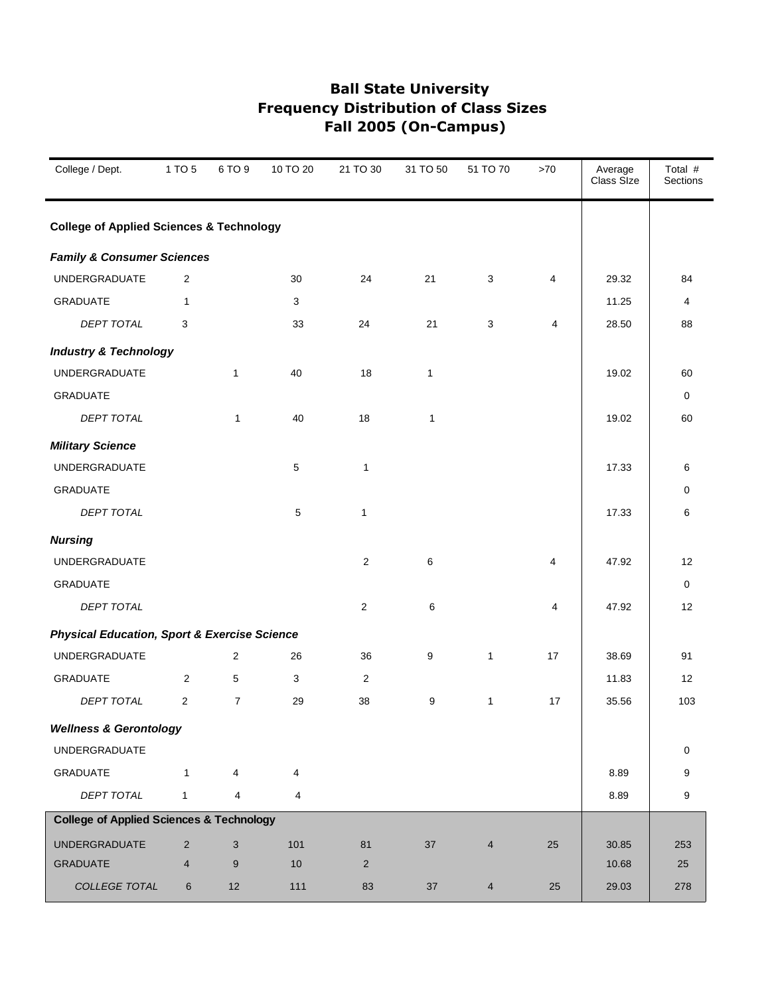| College / Dept.                                         | 1 TO 5         | 6 TO 9         | 10 TO 20       | 21 TO 30       | 31 TO 50     | 51 TO 70       | >70                     | Average<br>Class Size | Total #<br><b>Sections</b> |
|---------------------------------------------------------|----------------|----------------|----------------|----------------|--------------|----------------|-------------------------|-----------------------|----------------------------|
| <b>College of Applied Sciences &amp; Technology</b>     |                |                |                |                |              |                |                         |                       |                            |
| <b>Family &amp; Consumer Sciences</b>                   |                |                |                |                |              |                |                         |                       |                            |
| <b>UNDERGRADUATE</b>                                    | 2              |                | 30             | 24             | 21           | 3              | 4                       | 29.32                 | 84                         |
| <b>GRADUATE</b>                                         | 1              |                | 3              |                |              |                |                         | 11.25                 | 4                          |
| DEPT TOTAL                                              | 3              |                | 33             | 24             | 21           | 3              | $\overline{\mathbf{4}}$ | 28.50                 | 88                         |
| <b>Industry &amp; Technology</b>                        |                |                |                |                |              |                |                         |                       |                            |
| <b>UNDERGRADUATE</b>                                    |                | 1              | 40             | 18             | $\mathbf{1}$ |                |                         | 19.02                 | 60                         |
| <b>GRADUATE</b>                                         |                |                |                |                |              |                |                         |                       | 0                          |
| <b>DEPT TOTAL</b>                                       |                | 1              | 40             | 18             | $\mathbf{1}$ |                |                         | 19.02                 | 60                         |
| <b>Military Science</b>                                 |                |                |                |                |              |                |                         |                       |                            |
| <b>UNDERGRADUATE</b>                                    |                |                | $\,$ 5 $\,$    | 1              |              |                |                         | 17.33                 | 6                          |
| <b>GRADUATE</b>                                         |                |                |                |                |              |                |                         |                       | 0                          |
| <b>DEPT TOTAL</b>                                       |                |                | 5              | $\mathbf{1}$   |              |                |                         | 17.33                 | 6                          |
| <b>Nursing</b>                                          |                |                |                |                |              |                |                         |                       |                            |
| <b>UNDERGRADUATE</b>                                    |                |                |                | 2              | 6            |                | 4                       | 47.92                 | 12                         |
| <b>GRADUATE</b>                                         |                |                |                |                |              |                |                         |                       | 0                          |
| DEPT TOTAL                                              |                |                |                | 2              | 6            |                | 4                       | 47.92                 | 12                         |
| <b>Physical Education, Sport &amp; Exercise Science</b> |                |                |                |                |              |                |                         |                       |                            |
| <b>UNDERGRADUATE</b>                                    |                | 2              | 26             | 36             | 9            | $\mathbf{1}$   | 17                      | 38.69                 | 91                         |
| GRADUATE                                                | 2              | 5              | 3              | 2              |              |                |                         | 11.83                 | 12                         |
| <b>DEPT TOTAL</b>                                       | $\overline{c}$ | $\overline{7}$ | 29             | 38             | 9            | 1              | 17                      | 35.56                 | 103                        |
| <b>Wellness &amp; Gerontology</b>                       |                |                |                |                |              |                |                         |                       |                            |
| UNDERGRADUATE                                           |                |                |                |                |              |                |                         |                       | 0                          |
| <b>GRADUATE</b>                                         | $\mathbf{1}$   | 4              | $\overline{4}$ |                |              |                |                         | 8.89                  | 9                          |
| DEPT TOTAL                                              | $\mathbf{1}$   | $\overline{4}$ | 4              |                |              |                |                         | 8.89                  | 9                          |
| <b>College of Applied Sciences &amp; Technology</b>     |                |                |                |                |              |                |                         |                       |                            |
| <b>UNDERGRADUATE</b>                                    | $\overline{2}$ | $\mathsf 3$    | 101            | 81             | 37           | $\overline{4}$ | 25                      | 30.85                 | 253                        |
| <b>GRADUATE</b>                                         | 4              | $9\,$          | 10             | $\overline{2}$ |              |                |                         | 10.68                 | 25                         |
| COLLEGE TOTAL                                           | 6              | 12             | 111            | 83             | $37\,$       | $\overline{4}$ | 25                      | 29.03                 | 278                        |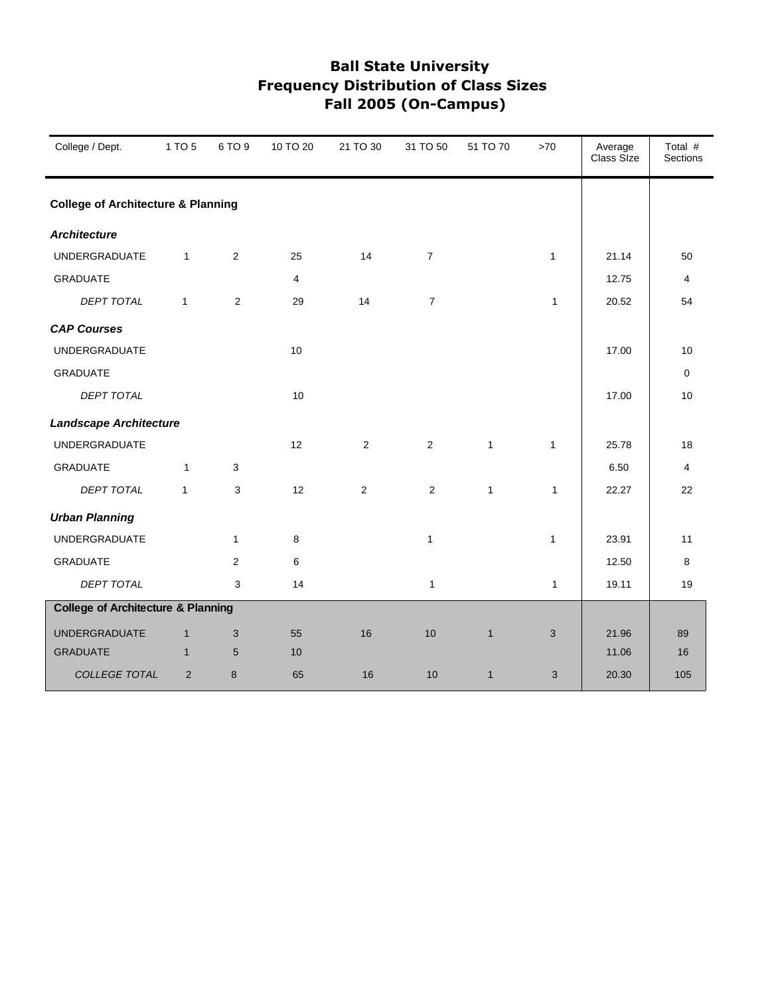| College / Dept.                               | 1 TO 5       | 6 TO 9         | 10 TO 20 | 21 TO 30       | 31 TO 50       | 51 TO 70     | $>70$        | Average<br>Class Size | Total #<br>Sections |
|-----------------------------------------------|--------------|----------------|----------|----------------|----------------|--------------|--------------|-----------------------|---------------------|
| <b>College of Architecture &amp; Planning</b> |              |                |          |                |                |              |              |                       |                     |
| <b>Architecture</b>                           |              |                |          |                |                |              |              |                       |                     |
| <b>UNDERGRADUATE</b>                          | $\mathbf{1}$ | 2              | 25       | 14             | $\overline{7}$ |              | $\mathbf{1}$ | 21.14                 | 50                  |
| <b>GRADUATE</b>                               |              |                | 4        |                |                |              |              | 12.75                 | 4                   |
| <b>DEPT TOTAL</b>                             | $\mathbf{1}$ | $\mathbf{2}$   | 29       | 14             | $\overline{7}$ |              | $\mathbf{1}$ | 20.52                 | 54                  |
| <b>CAP Courses</b>                            |              |                |          |                |                |              |              |                       |                     |
| <b>UNDERGRADUATE</b>                          |              |                | 10       |                |                |              |              | 17.00                 | 10                  |
| <b>GRADUATE</b>                               |              |                |          |                |                |              |              |                       | $\mathbf 0$         |
| <b>DEPT TOTAL</b>                             |              |                | 10       |                |                |              |              | 17.00                 | 10                  |
| <b>Landscape Architecture</b>                 |              |                |          |                |                |              |              |                       |                     |
| <b>UNDERGRADUATE</b>                          |              |                | 12       | 2              | $\overline{2}$ | $\mathbf{1}$ | $\mathbf{1}$ | 25.78                 | 18                  |
| <b>GRADUATE</b>                               | 1            | 3              |          |                |                |              |              | 6.50                  | 4                   |
| <b>DEPT TOTAL</b>                             | $\mathbf{1}$ | 3              | 12       | $\overline{2}$ | $\overline{2}$ | $\mathbf{1}$ | 1            | 22.27                 | 22                  |
| <b>Urban Planning</b>                         |              |                |          |                |                |              |              |                       |                     |
| <b>UNDERGRADUATE</b>                          |              | $\mathbf{1}$   | 8        |                | $\mathbf{1}$   |              | $\mathbf{1}$ | 23.91                 | 11                  |
| <b>GRADUATE</b>                               |              | $\overline{2}$ | 6        |                |                |              |              | 12.50                 | 8                   |
| <b>DEPT TOTAL</b>                             |              | 3              | 14       |                | $\mathbf{1}$   |              | 1            | 19.11                 | 19                  |
| <b>College of Architecture &amp; Planning</b> |              |                |          |                |                |              |              |                       |                     |
| <b>UNDERGRADUATE</b>                          | $\mathbf{1}$ | 3              | 55       | 16             | 10             | $\mathbf{1}$ | 3            | 21.96                 | 89                  |
| <b>GRADUATE</b>                               | $\mathbf{1}$ | 5              | 10       |                |                |              |              | 11.06                 | 16                  |
| COLLEGE TOTAL                                 | 2            | 8              | 65       | 16             | 10             | $\mathbf{1}$ | 3            | 20.30                 | 105                 |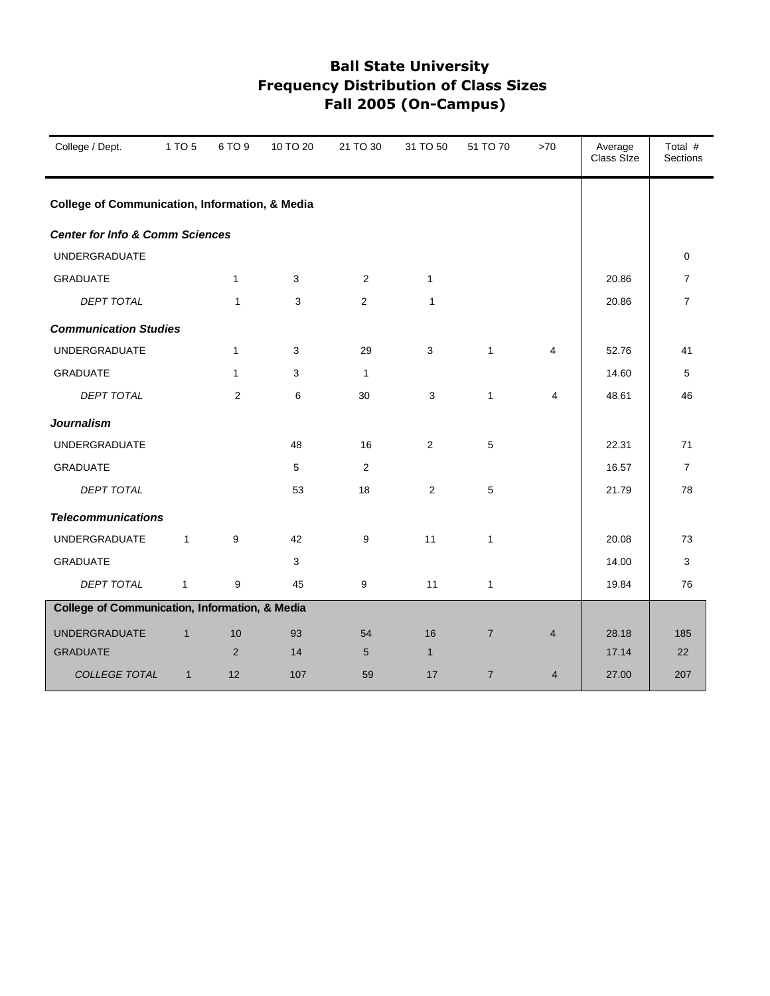| College / Dept.                                           | 1 TO 5       | 6 TO 9       | 10 TO 20 | 21 TO 30     | 31 TO 50       | 51 TO 70       | $>70$          | Average<br>Class Size | Total #<br>Sections |
|-----------------------------------------------------------|--------------|--------------|----------|--------------|----------------|----------------|----------------|-----------------------|---------------------|
| <b>College of Communication, Information, &amp; Media</b> |              |              |          |              |                |                |                |                       |                     |
| <b>Center for Info &amp; Comm Sciences</b>                |              |              |          |              |                |                |                |                       |                     |
| <b>UNDERGRADUATE</b>                                      |              |              |          |              |                |                |                |                       | $\Omega$            |
| <b>GRADUATE</b>                                           |              | $\mathbf{1}$ | 3        | 2            | $\mathbf{1}$   |                |                | 20.86                 | $\overline{7}$      |
| <b>DEPT TOTAL</b>                                         |              | $\mathbf{1}$ | 3        | $\mathbf{2}$ | $\mathbf{1}$   |                |                | 20.86                 | $\overline{7}$      |
| <b>Communication Studies</b>                              |              |              |          |              |                |                |                |                       |                     |
| <b>UNDERGRADUATE</b>                                      |              | $\mathbf{1}$ | 3        | 29           | $\mathbf{3}$   | $\mathbf{1}$   | 4              | 52.76                 | 41                  |
| <b>GRADUATE</b>                                           |              | $\mathbf{1}$ | 3        | 1            |                |                |                | 14.60                 | 5                   |
| DEPT TOTAL                                                |              | 2            | 6        | 30           | 3              | $\mathbf{1}$   | 4              | 48.61                 | 46                  |
| <b>Journalism</b>                                         |              |              |          |              |                |                |                |                       |                     |
| <b>UNDERGRADUATE</b>                                      |              |              | 48       | 16           | $\overline{2}$ | 5              |                | 22.31                 | 71                  |
| <b>GRADUATE</b>                                           |              |              | 5        | 2            |                |                |                | 16.57                 | $\overline{7}$      |
| <b>DEPT TOTAL</b>                                         |              |              | 53       | 18           | $\overline{2}$ | 5              |                | 21.79                 | 78                  |
| <b>Telecommunications</b>                                 |              |              |          |              |                |                |                |                       |                     |
| <b>UNDERGRADUATE</b>                                      | $\mathbf{1}$ | 9            | 42       | 9            | 11             | $\mathbf{1}$   |                | 20.08                 | 73                  |
| <b>GRADUATE</b>                                           |              |              | 3        |              |                |                |                | 14.00                 | 3                   |
| <b>DEPT TOTAL</b>                                         | $\mathbf{1}$ | 9            | 45       | 9            | 11             | $\mathbf{1}$   |                | 19.84                 | 76                  |
| College of Communication, Information, & Media            |              |              |          |              |                |                |                |                       |                     |
| <b>UNDERGRADUATE</b>                                      | $\mathbf{1}$ | 10           | 93       | 54           | 16             | $\overline{7}$ | $\overline{4}$ | 28.18                 | 185                 |
| <b>GRADUATE</b>                                           |              | 2            | 14       | 5            | $\mathbf{1}$   |                |                | 17.14                 | 22                  |
| <b>COLLEGE TOTAL</b>                                      | $\mathbf{1}$ | 12           | 107      | 59           | 17             | $\overline{7}$ | $\overline{4}$ | 27.00                 | 207                 |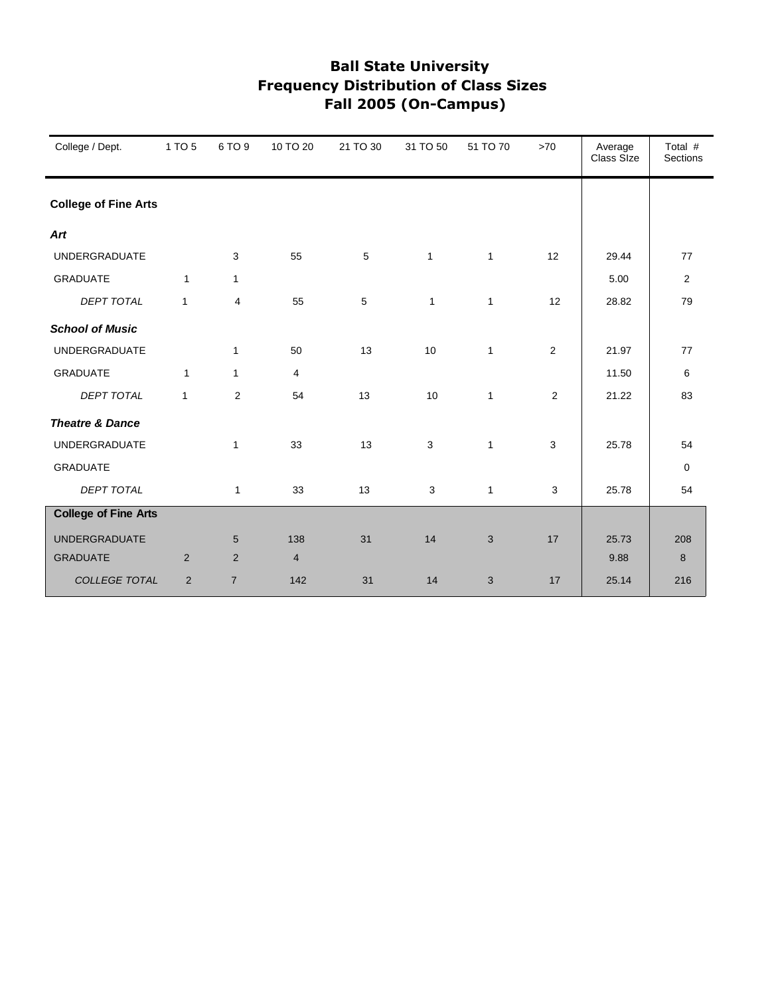| College / Dept.             | 1 TO 5       | 6 TO 9         | 10 TO 20       | 21 TO 30 | 31 TO 50     | 51 TO 70     | $>70$          | Average<br>Class SIze | Total #<br><b>Sections</b> |
|-----------------------------|--------------|----------------|----------------|----------|--------------|--------------|----------------|-----------------------|----------------------------|
| <b>College of Fine Arts</b> |              |                |                |          |              |              |                |                       |                            |
| Art                         |              |                |                |          |              |              |                |                       |                            |
| <b>UNDERGRADUATE</b>        |              | 3              | 55             | 5        | $\mathbf{1}$ | $\mathbf{1}$ | 12             | 29.44                 | 77                         |
| <b>GRADUATE</b>             | $\mathbf{1}$ | $\mathbf{1}$   |                |          |              |              |                | 5.00                  | $\overline{2}$             |
| <b>DEPT TOTAL</b>           | $\mathbf{1}$ | $\overline{4}$ | 55             | 5        | $\mathbf{1}$ | $\mathbf{1}$ | 12             | 28.82                 | 79                         |
| <b>School of Music</b>      |              |                |                |          |              |              |                |                       |                            |
| <b>UNDERGRADUATE</b>        |              | $\mathbf{1}$   | 50             | 13       | 10           | $\mathbf{1}$ | $\overline{2}$ | 21.97                 | 77                         |
| <b>GRADUATE</b>             | $\mathbf{1}$ | $\mathbf{1}$   | 4              |          |              |              |                | 11.50                 | 6                          |
| <b>DEPT TOTAL</b>           | $\mathbf{1}$ | 2              | 54             | 13       | 10           | $\mathbf{1}$ | 2              | 21.22                 | 83                         |
| <b>Theatre &amp; Dance</b>  |              |                |                |          |              |              |                |                       |                            |
| <b>UNDERGRADUATE</b>        |              | $\mathbf{1}$   | 33             | 13       | 3            | $\mathbf{1}$ | 3              | 25.78                 | 54                         |
| <b>GRADUATE</b>             |              |                |                |          |              |              |                |                       | $\mathbf 0$                |
| <b>DEPT TOTAL</b>           |              | $\mathbf{1}$   | 33             | 13       | 3            | $\mathbf{1}$ | 3              | 25.78                 | 54                         |
| <b>College of Fine Arts</b> |              |                |                |          |              |              |                |                       |                            |
| <b>UNDERGRADUATE</b>        |              | 5              | 138            | 31       | 14           | 3            | 17             | 25.73                 | 208                        |
| <b>GRADUATE</b>             | 2            | 2              | $\overline{4}$ |          |              |              |                | 9.88                  | 8                          |
| COLLEGE TOTAL               | 2            | $\overline{7}$ | 142            | 31       | 14           | 3            | 17             | 25.14                 | 216                        |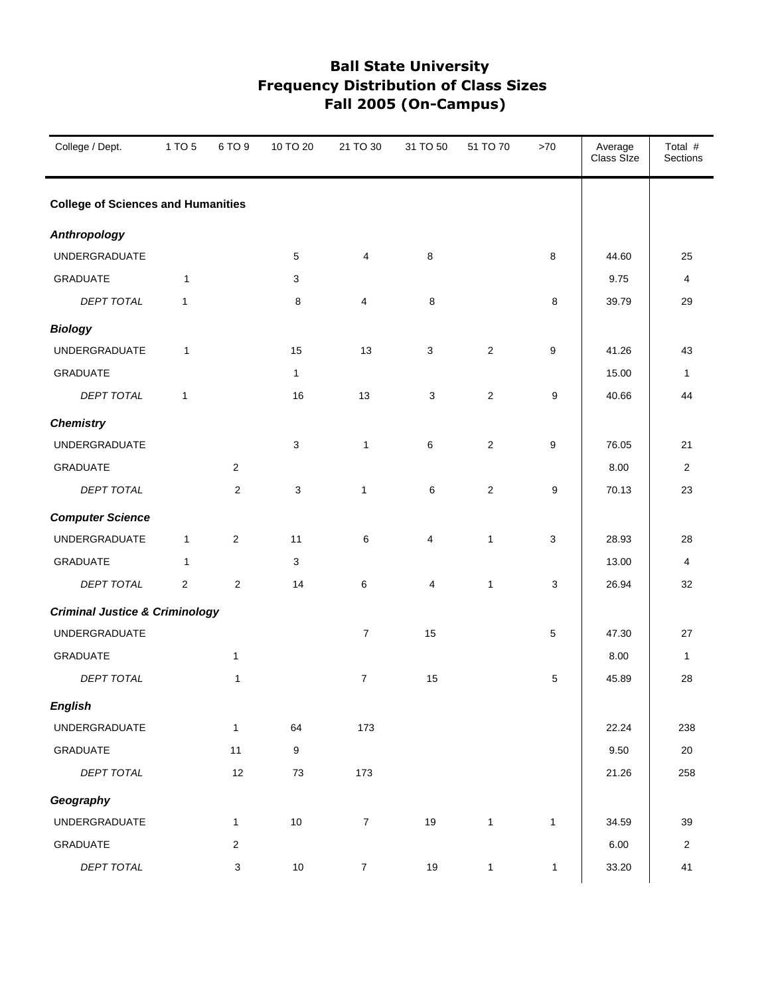| College / Dept.                           | 1 TO 5         | 6 TO 9                  | 10 TO 20     | 21 TO 30       | 31 TO 50   | 51 TO 70       | $>70$        | Average<br>Class Size | Total #<br>Sections |
|-------------------------------------------|----------------|-------------------------|--------------|----------------|------------|----------------|--------------|-----------------------|---------------------|
| <b>College of Sciences and Humanities</b> |                |                         |              |                |            |                |              |                       |                     |
| <b>Anthropology</b>                       |                |                         |              |                |            |                |              |                       |                     |
| UNDERGRADUATE                             |                |                         | 5            | 4              | 8          |                | 8            | 44.60                 | 25                  |
| <b>GRADUATE</b>                           | $\mathbf{1}$   |                         | 3            |                |            |                |              | 9.75                  | 4                   |
| DEPT TOTAL                                | $\mathbf{1}$   |                         | 8            | $\overline{4}$ | $\,8\,$    |                | 8            | 39.79                 | 29                  |
| <b>Biology</b>                            |                |                         |              |                |            |                |              |                       |                     |
| UNDERGRADUATE                             | $\mathbf{1}$   |                         | 15           | 13             | 3          | $\overline{2}$ | 9            | 41.26                 | 43                  |
| <b>GRADUATE</b>                           |                |                         | $\mathbf{1}$ |                |            |                |              | 15.00                 | 1                   |
| DEPT TOTAL                                | $\mathbf{1}$   |                         | 16           | 13             | $\sqrt{3}$ | $\sqrt{2}$     | 9            | 40.66                 | 44                  |
| <b>Chemistry</b>                          |                |                         |              |                |            |                |              |                       |                     |
| <b>UNDERGRADUATE</b>                      |                |                         | 3            | $\mathbf{1}$   | 6          | $\overline{2}$ | 9            | 76.05                 | 21                  |
| <b>GRADUATE</b>                           |                | $\overline{c}$          |              |                |            |                |              | 8.00                  | $\overline{2}$      |
| DEPT TOTAL                                |                | 2                       | 3            | $\mathbf{1}$   | 6          | $\sqrt{2}$     | 9            | 70.13                 | 23                  |
| <b>Computer Science</b>                   |                |                         |              |                |            |                |              |                       |                     |
| UNDERGRADUATE                             | $\mathbf{1}$   | $\sqrt{2}$              | 11           | 6              | 4          | $\mathbf{1}$   | $\mathsf 3$  | 28.93                 | 28                  |
| <b>GRADUATE</b>                           | $\mathbf{1}$   |                         | 3            |                |            |                |              | 13.00                 | 4                   |
| DEPT TOTAL                                | $\overline{c}$ | $\overline{\mathbf{c}}$ | 14           | 6              | 4          | $\mathbf{1}$   | 3            | 26.94                 | 32                  |
| <b>Criminal Justice &amp; Criminology</b> |                |                         |              |                |            |                |              |                       |                     |
| UNDERGRADUATE                             |                |                         |              | $\overline{7}$ | 15         |                | 5            | 47.30                 | 27                  |
| GRADUATE                                  |                | $\mathbf{1}$            |              |                |            |                |              | 8.00                  | $\mathbf{1}$        |
| DEPT TOTAL                                |                | 1                       |              | $\overline{7}$ | 15         |                | 5            | 45.89                 | 28                  |
| <b>English</b>                            |                |                         |              |                |            |                |              |                       |                     |
| UNDERGRADUATE                             |                | $\mathbf{1}$            | 64           | 173            |            |                |              | 22.24                 | 238                 |
| GRADUATE                                  |                | 11                      | 9            |                |            |                |              | 9.50                  | $20\,$              |
| DEPT TOTAL                                |                | 12                      | $73\,$       | 173            |            |                |              | 21.26                 | 258                 |
| Geography                                 |                |                         |              |                |            |                |              |                       |                     |
| UNDERGRADUATE                             |                | $\mathbf{1}$            | $10$         | $\overline{7}$ | 19         | $\mathbf{1}$   | $\mathbf{1}$ | 34.59                 | 39                  |
| GRADUATE                                  |                | $\sqrt{2}$              |              |                |            |                |              | 6.00                  | $\overline{2}$      |
| DEPT TOTAL                                |                | 3                       | $10\,$       | $\overline{7}$ | 19         | $\mathbf{1}$   | $\mathbf{1}$ | 33.20                 | 41                  |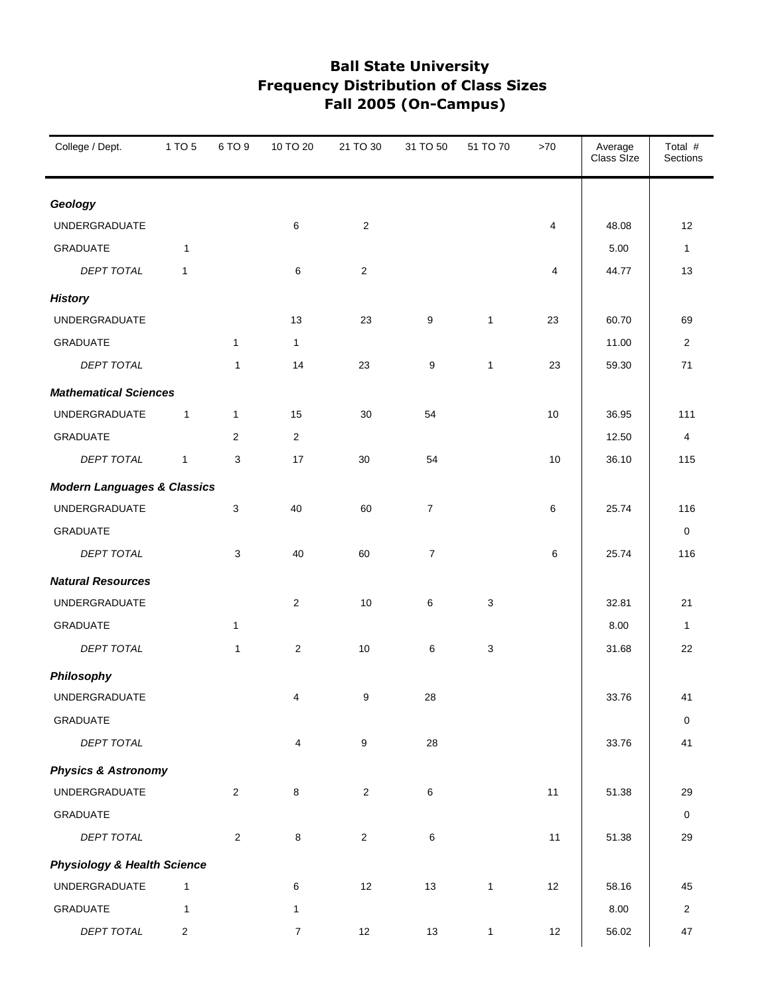| College / Dept.                        | 1 TO 5       | 6 TO 9         | 10 TO 20                | 21 TO 30                | 31 TO 50         | 51 TO 70     | $>70$ | Average<br>Class Size | Total #<br>Sections |
|----------------------------------------|--------------|----------------|-------------------------|-------------------------|------------------|--------------|-------|-----------------------|---------------------|
| Geology                                |              |                |                         |                         |                  |              |       |                       |                     |
| UNDERGRADUATE                          |              |                | 6                       | $\overline{\mathbf{c}}$ |                  |              | 4     | 48.08                 | 12                  |
| <b>GRADUATE</b>                        | $\mathbf{1}$ |                |                         |                         |                  |              |       | 5.00                  | $\mathbf{1}$        |
| DEPT TOTAL                             | 1            |                | 6                       | $\overline{2}$          |                  |              | 4     | 44.77                 | 13                  |
| <b>History</b>                         |              |                |                         |                         |                  |              |       |                       |                     |
| UNDERGRADUATE                          |              |                | 13                      | 23                      | $\boldsymbol{9}$ | $\mathbf{1}$ | 23    | 60.70                 | 69                  |
| <b>GRADUATE</b>                        |              | $\mathbf{1}$   | $\mathbf{1}$            |                         |                  |              |       | 11.00                 | $\overline{2}$      |
| DEPT TOTAL                             |              | 1              | 14                      | 23                      | 9                | $\mathbf{1}$ | 23    | 59.30                 | 71                  |
| <b>Mathematical Sciences</b>           |              |                |                         |                         |                  |              |       |                       |                     |
| UNDERGRADUATE                          | $\mathbf{1}$ | $\mathbf{1}$   | 15                      | 30                      | 54               |              | 10    | 36.95                 | 111                 |
| <b>GRADUATE</b>                        |              | 2              | $\overline{c}$          |                         |                  |              |       | 12.50                 | $\overline{4}$      |
| <b>DEPT TOTAL</b>                      | $\mathbf{1}$ | 3              | 17                      | 30                      | 54               |              | 10    | 36.10                 | 115                 |
| <b>Modern Languages &amp; Classics</b> |              |                |                         |                         |                  |              |       |                       |                     |
| UNDERGRADUATE                          |              | 3              | 40                      | 60                      | $\boldsymbol{7}$ |              | 6     | 25.74                 | 116                 |
| <b>GRADUATE</b>                        |              |                |                         |                         |                  |              |       |                       | 0                   |
| DEPT TOTAL                             |              | 3              | 40                      | 60                      | $\boldsymbol{7}$ |              | 6     | 25.74                 | 116                 |
| <b>Natural Resources</b>               |              |                |                         |                         |                  |              |       |                       |                     |
| UNDERGRADUATE                          |              |                | $\overline{\mathbf{c}}$ | 10                      | $\,6\,$          | $\mathsf 3$  |       | 32.81                 | 21                  |
| <b>GRADUATE</b>                        |              | $\mathbf{1}$   |                         |                         |                  |              |       | 8.00                  | $\mathbf{1}$        |
| <b>DEPT TOTAL</b>                      |              | $\mathbf{1}$   | 2                       | 10                      | 6                | 3            |       | 31.68                 | 22                  |
| Philosophy                             |              |                |                         |                         |                  |              |       |                       |                     |
| UNDERGRADUATE                          |              |                | $\overline{4}$          | 9                       | 28               |              |       | 33.76                 | 41                  |
| <b>GRADUATE</b>                        |              |                |                         |                         |                  |              |       |                       | 0                   |
| DEPT TOTAL                             |              |                | 4                       | $\boldsymbol{9}$        | 28               |              |       | 33.76                 | 41                  |
| <b>Physics &amp; Astronomy</b>         |              |                |                         |                         |                  |              |       |                       |                     |
| UNDERGRADUATE                          |              | $\overline{2}$ | 8                       | $\overline{c}$          | $\,6\,$          |              | 11    | 51.38                 | 29                  |
| GRADUATE                               |              |                |                         |                         |                  |              |       |                       | $\mathbf 0$         |
| DEPT TOTAL                             |              | $\overline{2}$ | 8                       | $\overline{2}$          | 6                |              | 11    | 51.38                 | 29                  |
| <b>Physiology &amp; Health Science</b> |              |                |                         |                         |                  |              |       |                       |                     |
| UNDERGRADUATE                          | $\mathbf{1}$ |                | 6                       | 12                      | 13               | $\mathbf{1}$ | 12    | 58.16                 | 45                  |
| GRADUATE                               | $\mathbf{1}$ |                | 1                       |                         |                  |              |       | 8.00                  | $\overline{2}$      |
| DEPT TOTAL                             | 2            |                | $\boldsymbol{7}$        | 12                      | $13$             | $\mathbf{1}$ | 12    | 56.02                 | 47                  |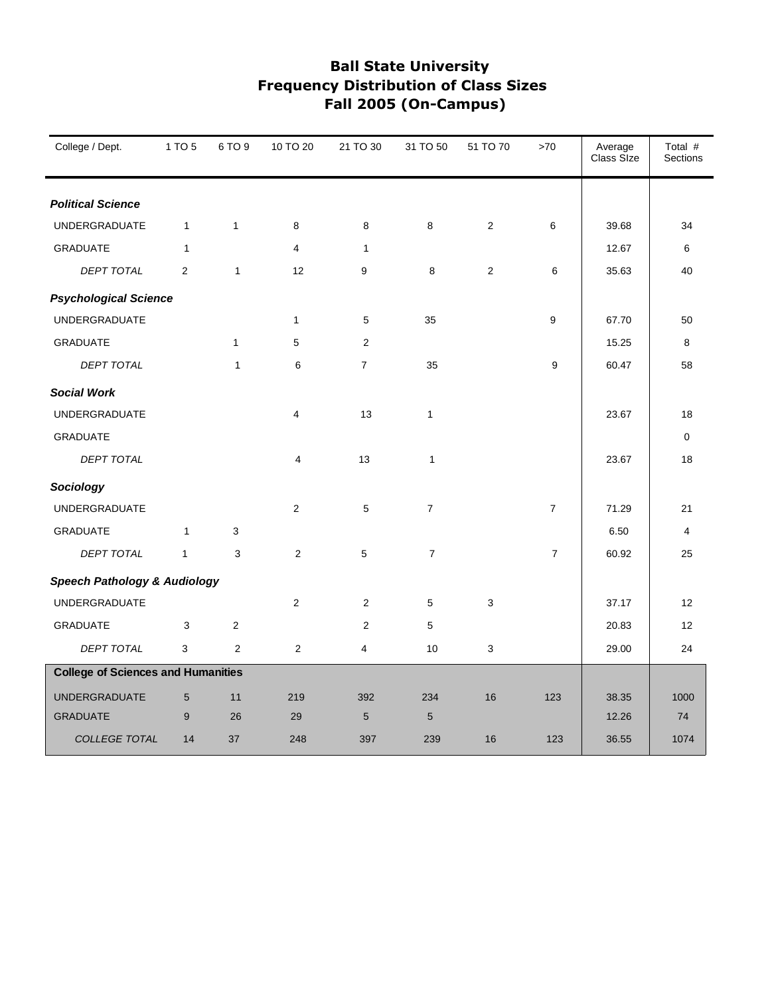| College / Dept.                           | 1 TO 5       | 6 TO 9         | 10 TO 20                | 21 TO 30       | 31 TO 50         | 51 TO 70       | $>70$          | Average<br>Class Size | Total #<br><b>Sections</b> |
|-------------------------------------------|--------------|----------------|-------------------------|----------------|------------------|----------------|----------------|-----------------------|----------------------------|
| <b>Political Science</b>                  |              |                |                         |                |                  |                |                |                       |                            |
| UNDERGRADUATE                             | $\mathbf{1}$ | $\mathbf{1}$   | 8                       | 8              | 8                | $\overline{2}$ | 6              | 39.68                 | 34                         |
| <b>GRADUATE</b>                           | $\mathbf{1}$ |                | $\overline{\mathbf{4}}$ | $\mathbf{1}$   |                  |                |                | 12.67                 | 6                          |
| <b>DEPT TOTAL</b>                         | 2            | $\mathbf{1}$   | 12                      | 9              | 8                | 2              | 6              | 35.63                 | 40                         |
| <b>Psychological Science</b>              |              |                |                         |                |                  |                |                |                       |                            |
| UNDERGRADUATE                             |              |                | 1                       | 5              | 35               |                | 9              | 67.70                 | 50                         |
| <b>GRADUATE</b>                           |              | $\mathbf{1}$   | 5                       | $\overline{2}$ |                  |                |                | 15.25                 | 8                          |
| <b>DEPT TOTAL</b>                         |              | $\mathbf{1}$   | 6                       | $\overline{7}$ | 35               |                | 9              | 60.47                 | 58                         |
| <b>Social Work</b>                        |              |                |                         |                |                  |                |                |                       |                            |
| UNDERGRADUATE                             |              |                | $\overline{\mathbf{4}}$ | 13             | $\mathbf{1}$     |                |                | 23.67                 | 18                         |
| <b>GRADUATE</b>                           |              |                |                         |                |                  |                |                |                       | $\mathbf 0$                |
| DEPT TOTAL                                |              |                | $\overline{\mathbf{4}}$ | 13             | $\mathbf{1}$     |                |                | 23.67                 | 18                         |
| Sociology                                 |              |                |                         |                |                  |                |                |                       |                            |
| <b>UNDERGRADUATE</b>                      |              |                | 2                       | 5              | $\overline{7}$   |                | $\overline{7}$ | 71.29                 | 21                         |
| <b>GRADUATE</b>                           | $\mathbf{1}$ | 3              |                         |                |                  |                |                | 6.50                  | $\overline{4}$             |
| DEPT TOTAL                                | $\mathbf{1}$ | 3              | $\overline{2}$          | $5\,$          | $\boldsymbol{7}$ |                | $\overline{7}$ | 60.92                 | 25                         |
| <b>Speech Pathology &amp; Audiology</b>   |              |                |                         |                |                  |                |                |                       |                            |
| UNDERGRADUATE                             |              |                | $\overline{2}$          | $\overline{2}$ | 5                | 3              |                | 37.17                 | 12                         |
| <b>GRADUATE</b>                           | 3            | $\overline{2}$ |                         | $\overline{2}$ | 5                |                |                | 20.83                 | 12                         |
| <b>DEPT TOTAL</b>                         | 3            | $\overline{2}$ | $\overline{2}$          | 4              | 10               | 3              |                | 29.00                 | 24                         |
| <b>College of Sciences and Humanities</b> |              |                |                         |                |                  |                |                |                       |                            |
| <b>UNDERGRADUATE</b>                      | 5            | 11             | 219                     | 392            | 234              | 16             | 123            | 38.35                 | 1000                       |
| <b>GRADUATE</b>                           | 9            | 26             | 29                      | 5              | 5                |                |                | 12.26                 | 74                         |
| COLLEGE TOTAL                             | 14           | 37             | 248                     | 397            | 239              | 16             | 123            | 36.55                 | 1074                       |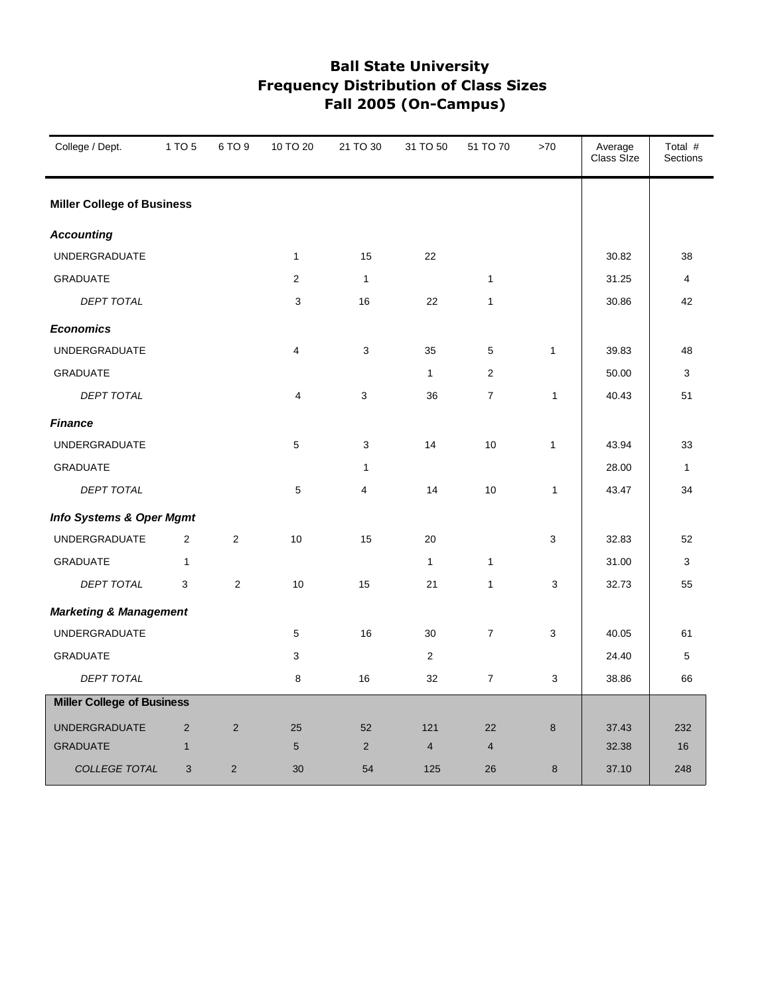| College / Dept.                   | 1 TO 5         | 6 TO 9         | 10 TO 20                | 21 TO 30       | 31 TO 50       | 51 TO 70       | >70          | Average<br>Class Size | Total #<br>Sections |
|-----------------------------------|----------------|----------------|-------------------------|----------------|----------------|----------------|--------------|-----------------------|---------------------|
| <b>Miller College of Business</b> |                |                |                         |                |                |                |              |                       |                     |
| <b>Accounting</b>                 |                |                |                         |                |                |                |              |                       |                     |
| <b>UNDERGRADUATE</b>              |                |                | $\mathbf{1}$            | 15             | 22             |                |              | 30.82                 | 38                  |
| <b>GRADUATE</b>                   |                |                | $\overline{2}$          | $\mathbf{1}$   |                | $\mathbf{1}$   |              | 31.25                 | 4                   |
| DEPT TOTAL                        |                |                | 3                       | 16             | 22             | $\mathbf{1}$   |              | 30.86                 | 42                  |
| <b>Economics</b>                  |                |                |                         |                |                |                |              |                       |                     |
| <b>UNDERGRADUATE</b>              |                |                | $\overline{\mathbf{4}}$ | 3              | 35             | 5              | $\mathbf{1}$ | 39.83                 | 48                  |
| <b>GRADUATE</b>                   |                |                |                         |                | $\mathbf{1}$   | $\mathbf{2}$   |              | 50.00                 | 3                   |
| <b>DEPT TOTAL</b>                 |                |                | 4                       | 3              | 36             | $\overline{7}$ | $\mathbf{1}$ | 40.43                 | 51                  |
| <b>Finance</b>                    |                |                |                         |                |                |                |              |                       |                     |
| <b>UNDERGRADUATE</b>              |                |                | 5                       | 3              | 14             | 10             | 1            | 43.94                 | 33                  |
| <b>GRADUATE</b>                   |                |                |                         | $\mathbf{1}$   |                |                |              | 28.00                 | $\mathbf{1}$        |
| <b>DEPT TOTAL</b>                 |                |                | $\mathbf 5$             | 4              | 14             | 10             | 1            | 43.47                 | 34                  |
| Info Systems & Oper Mgmt          |                |                |                         |                |                |                |              |                       |                     |
| <b>UNDERGRADUATE</b>              | $\mathbf{2}$   | 2              | 10                      | 15             | 20             |                | 3            | 32.83                 | 52                  |
| <b>GRADUATE</b>                   | $\mathbf{1}$   |                |                         |                | $\mathbf{1}$   | $\mathbf{1}$   |              | 31.00                 | 3                   |
| <b>DEPT TOTAL</b>                 | 3              | $\overline{2}$ | 10                      | 15             | 21             | $\mathbf{1}$   | 3            | 32.73                 | 55                  |
| <b>Marketing &amp; Management</b> |                |                |                         |                |                |                |              |                       |                     |
| <b>UNDERGRADUATE</b>              |                |                | 5                       | 16             | 30             | $\overline{7}$ | 3            | 40.05                 | 61                  |
| <b>GRADUATE</b>                   |                |                | 3                       |                | $\overline{2}$ |                |              | 24.40                 | 5                   |
| DEPT TOTAL                        |                |                | 8                       | 16             | 32             | $\overline{7}$ | 3            | 38.86                 | 66                  |
| <b>Miller College of Business</b> |                |                |                         |                |                |                |              |                       |                     |
| <b>UNDERGRADUATE</b>              | $\overline{2}$ | $\overline{2}$ | 25                      | 52             | 121            | 22             | 8            | 37.43                 | 232                 |
| <b>GRADUATE</b>                   | $\mathbf{1}$   |                | 5                       | $\overline{2}$ | $\overline{4}$ | $\overline{4}$ |              | 32.38                 | 16                  |
| <b>COLLEGE TOTAL</b>              | 3              | 2              | 30                      | 54             | 125            | 26             | 8            | 37.10                 | 248                 |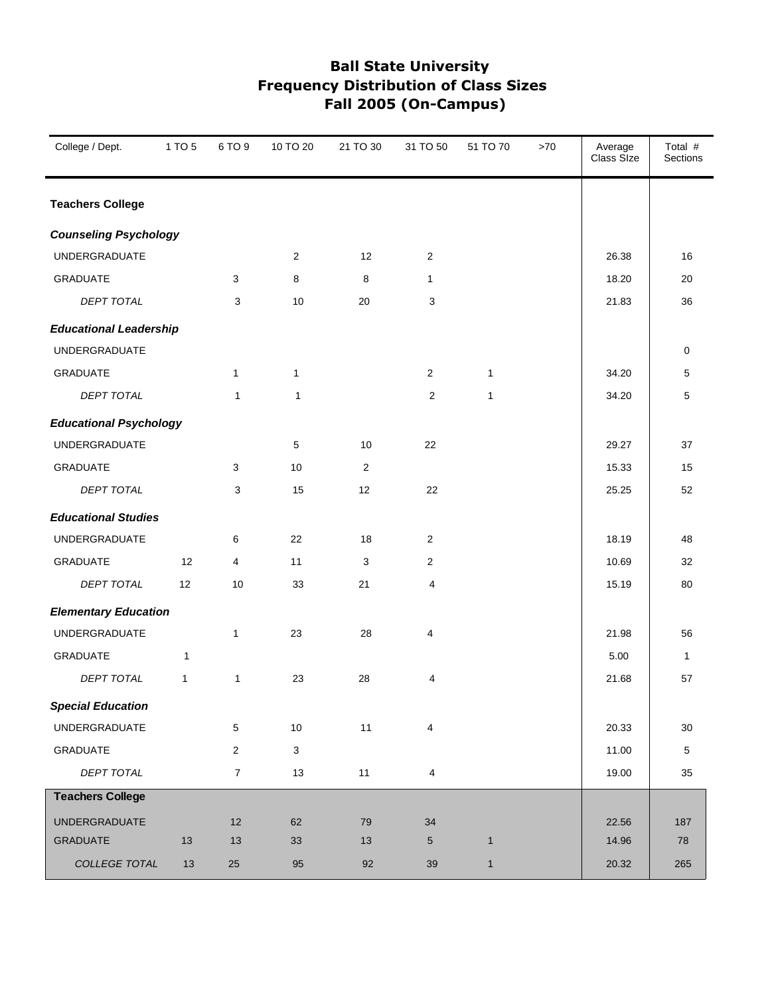| College / Dept.               | 1 TO 5       | 6 TO 9         | 10 TO 20                  | 21 TO 30 | 31 TO 50       | 51 TO 70     | >70 | Average<br>Class Size | Total #<br>Sections |
|-------------------------------|--------------|----------------|---------------------------|----------|----------------|--------------|-----|-----------------------|---------------------|
| <b>Teachers College</b>       |              |                |                           |          |                |              |     |                       |                     |
| <b>Counseling Psychology</b>  |              |                |                           |          |                |              |     |                       |                     |
| UNDERGRADUATE                 |              |                | 2                         | 12       | 2              |              |     | 26.38                 | 16                  |
| <b>GRADUATE</b>               |              | 3              | 8                         | 8        | $\mathbf{1}$   |              |     | 18.20                 | 20                  |
| <b>DEPT TOTAL</b>             |              | 3              | 10                        | 20       | 3              |              |     | 21.83                 | 36                  |
| <b>Educational Leadership</b> |              |                |                           |          |                |              |     |                       |                     |
| UNDERGRADUATE                 |              |                |                           |          |                |              |     |                       | 0                   |
| <b>GRADUATE</b>               |              | 1              | $\mathbf{1}$              |          | $\overline{c}$ | $\mathbf{1}$ |     | 34.20                 | 5                   |
| DEPT TOTAL                    |              | $\mathbf{1}$   | 1                         |          | $\overline{2}$ | $\mathbf{1}$ |     | 34.20                 | 5                   |
| <b>Educational Psychology</b> |              |                |                           |          |                |              |     |                       |                     |
| UNDERGRADUATE                 |              |                | 5                         | 10       | 22             |              |     | 29.27                 | 37                  |
| <b>GRADUATE</b>               |              | 3              | 10                        | 2        |                |              |     | 15.33                 | 15                  |
| <b>DEPT TOTAL</b>             |              | 3              | 15                        | 12       | 22             |              |     | 25.25                 | 52                  |
| <b>Educational Studies</b>    |              |                |                           |          |                |              |     |                       |                     |
| <b>UNDERGRADUATE</b>          |              | 6              | 22                        | 18       | $\overline{2}$ |              |     | 18.19                 | 48                  |
| <b>GRADUATE</b>               | 12           | 4              | 11                        | 3        | $\overline{c}$ |              |     | 10.69                 | 32                  |
| DEPT TOTAL                    | 12           | 10             | 33                        | 21       | 4              |              |     | 15.19                 | 80                  |
| <b>Elementary Education</b>   |              |                |                           |          |                |              |     |                       |                     |
| UNDERGRADUATE                 |              | 1              | 23                        | 28       | 4              |              |     | 21.98                 | 56                  |
| <b>GRADUATE</b>               | 1            |                |                           |          |                |              |     | 5.00                  | 1                   |
| DEPT TOTAL                    | $\mathbf{1}$ | $\mathbf{1}$   | 23                        | 28       | 4              |              |     | 21.68                 | 57                  |
| <b>Special Education</b>      |              |                |                           |          |                |              |     |                       |                     |
| UNDERGRADUATE                 |              | 5              | $10$                      | 11       | 4              |              |     | 20.33                 | 30                  |
| GRADUATE                      |              | $\overline{2}$ | $\ensuremath{\mathsf{3}}$ |          |                |              |     | 11.00                 | $\,$ 5 $\,$         |
| DEPT TOTAL                    |              | $\overline{7}$ | 13                        | 11       | 4              |              |     | 19.00                 | 35                  |
| <b>Teachers College</b>       |              |                |                           |          |                |              |     |                       |                     |
| <b>UNDERGRADUATE</b>          |              | 12             | 62                        | 79       | 34             |              |     | 22.56                 | 187                 |
| <b>GRADUATE</b>               | 13           | 13             | 33                        | 13       | 5              | $\mathbf{1}$ |     | 14.96                 | 78                  |
| COLLEGE TOTAL                 | 13           | 25             | 95                        | 92       | 39             | $\mathbf{1}$ |     | 20.32                 | 265                 |